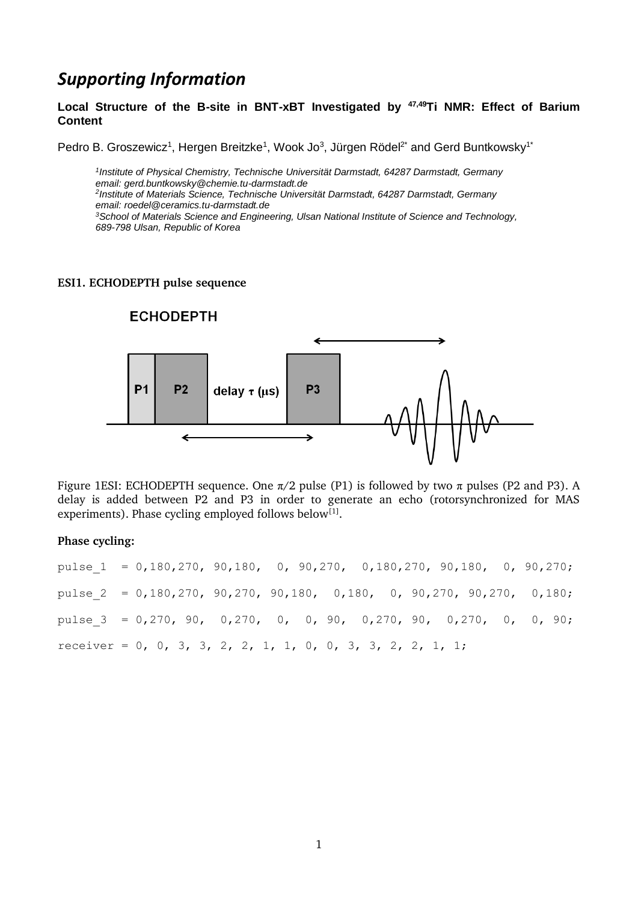# *Supporting Information*

**Local Structure of the B-site in BNT-xBT Investigated by 47,49Ti NMR: Effect of Barium Content** 

Pedro B. Groszewicz<sup>1</sup>, Hergen Breitzke<sup>1</sup>, Wook Jo<sup>3</sup>, Jürgen Rödel<sup>2\*</sup> and Gerd Buntkowsky<sup>1\*</sup>

*1 Institute of Physical Chemistry, Technische Universität Darmstadt, 64287 Darmstadt, Germany email: gerd.buntkowsky@chemie.tu-darmstadt.de 2 Institute of Materials Science, Technische Universität Darmstadt, 64287 Darmstadt, Germany email: roedel@ceramics.tu-darmstadt.de <sup>3</sup>School of Materials Science and Engineering, Ulsan National Institute of Science and Technology, 689-798 Ulsan, Republic of Korea*

#### **ESI1. ECHODEPTH pulse sequence**



Figure 1ESI: ECHODEPTH sequence. One  $\pi/2$  pulse (P1) is followed by two  $\pi$  pulses (P2 and P3). A delay is added between P2 and P3 in order to generate an echo (rotorsynchronized for MAS experiments). Phase cycling employed follows below<sup>[\[1\]](#page-1-0)</sup>.

#### **Phase cycling:**

pulse\_1 = 0,180,270, 90,180, 0, 90,270, 0,180,270, 90,180, 0, 90,270; pulse  $2 = 0,180,270, 90,270, 90,180, 0,180, 0,90,270, 90,270, 0,180;$ pulse\_3 = 0,270, 90, 0,270, 0, 0, 90, 0,270, 90, 0,270, 0, 0, 90; receiver =  $0, 0, 3, 3, 2, 2, 1, 1, 0, 0, 3, 3, 2, 2, 1, 1;$